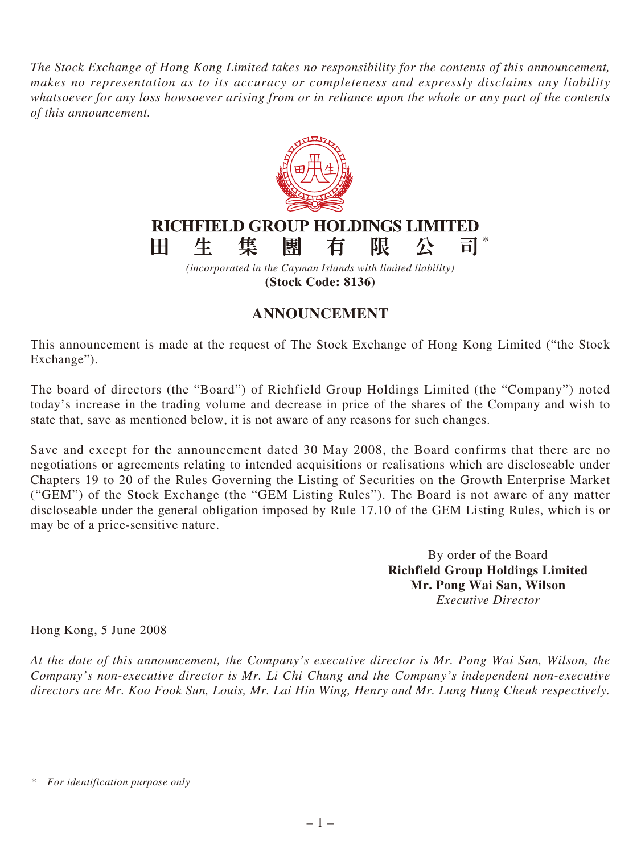*The Stock Exchange of Hong Kong Limited takes no responsibility for the contents of this announcement, makes no representation as to its accuracy or completeness and expressly disclaims any liability whatsoever for any loss howsoever arising from or in reliance upon the whole or any part of the contents of this announcement.*



**(Stock Code: 8136)**

## **ANNOUNCEMENT**

This announcement is made at the request of The Stock Exchange of Hong Kong Limited ("the Stock Exchange").

The board of directors (the "Board") of Richfield Group Holdings Limited (the "Company") noted today's increase in the trading volume and decrease in price of the shares of the Company and wish to state that, save as mentioned below, it is not aware of any reasons for such changes.

Save and except for the announcement dated 30 May 2008, the Board confirms that there are no negotiations or agreements relating to intended acquisitions or realisations which are discloseable under Chapters 19 to 20 of the Rules Governing the Listing of Securities on the Growth Enterprise Market ("GEM") of the Stock Exchange (the "GEM Listing Rules"). The Board is not aware of any matter discloseable under the general obligation imposed by Rule 17.10 of the GEM Listing Rules, which is or may be of a price-sensitive nature.

> By order of the Board **Richfield Group Holdings Limited Mr. Pong Wai San, Wilson** *Executive Director*

Hong Kong, 5 June 2008

*At the date of this announcement, the Company's executive director is Mr. Pong Wai San, Wilson, the Company's non-executive director is Mr. Li Chi Chung and the Company's independent non-executive directors are Mr. Koo Fook Sun, Louis, Mr. Lai Hin Wing, Henry and Mr. Lung Hung Cheuk respectively.*

*<sup>\*</sup> For identification purpose only*